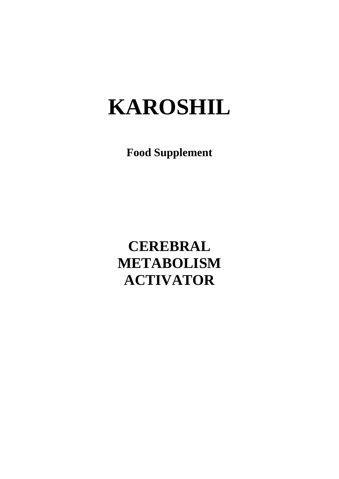## **KAROSHIL**

**Food Supplement**

**CEREBRAL METABOLISM ACTIVATOR**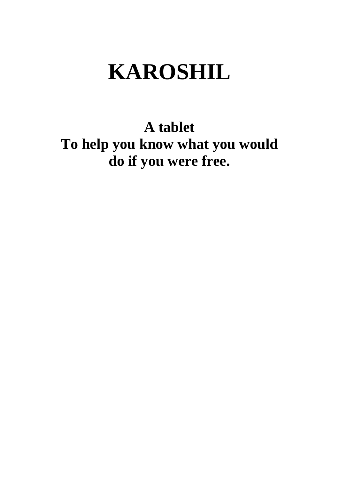# **KAROSHIL**

**A tablet**

**To help you know what you would do if you were free.**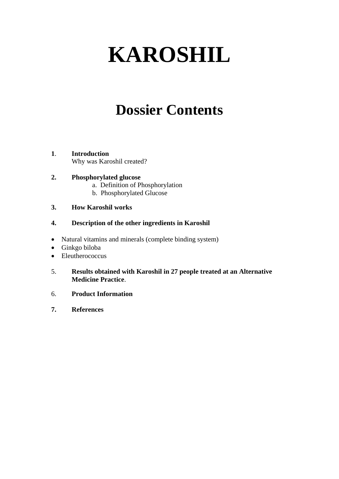# **KAROSHIL**

## **Dossier Contents**

#### **1**. **Introduction** Why was Karoshil created?

### **2. Phosphorylated glucose**

- a. Definition of Phosphorylation
- b. Phosphorylated Glucose

### **3. How Karoshil works**

### **4. Description of the other ingredients in Karoshil**

- Natural vitamins and minerals (complete binding system)
- Ginkgo biloba
- Eleutherococcus
- 5. **Results obtained with Karoshil in 27 people treated at an Alternative Medicine Practice**.
- 6. **Product Information**
- **7. References**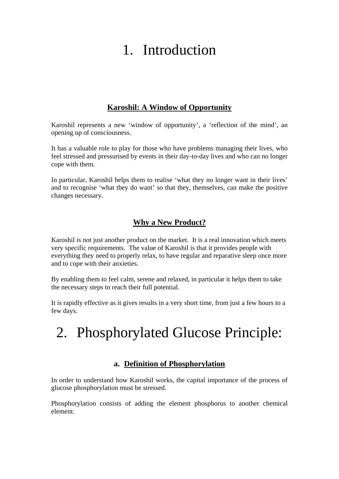## 1. Introduction

### **Karoshil: A Window of Opportunity**

Karoshil represents a new 'window of opportunity', a 'reflection of the mind', an opening up of consciousness.

It has a valuable role to play for those who have problems managing their lives, who feel stressed and pressurised by events in their day-to-day lives and who can no longer cope with them.

In particular, Karoshil helps them to realise 'what they no longer want in their lives' and to recognise 'what they do want' so that they, themselves, can make the positive changes necessary.

### **Why a New Product?**

Karoshil is not just another product on the market. It is a real innovation which meets very specific requirements. The value of Karoshil is that it provides people with everything they need to properly relax, to have regular and reparative sleep once more and to cope with their anxieties.

By enabling them to feel calm, serene and relaxed, in particular it helps them to take the necessary steps to reach their full potential.

It is rapidly effective as it gives results in a very short time, from just a few hours to a few days.

## 2. Phosphorylated Glucose Principle:

### **a. Definition of Phosphorylation**

In order to understand how Karoshil works, the capital importance of the process of glucose phosphorylation must be stressed.

Phosphorylation consists of adding the element phosphorus to another chemical element.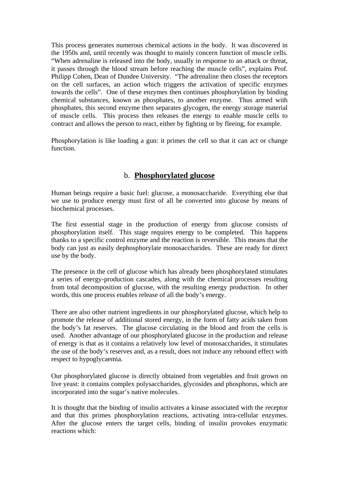This process generates numerous chemical actions in the body. It was discovered in the 1950s and, until recently was thought to mainly concern function of muscle cells. "When adrenaline is released into the body, usually in response to an attack or threat, it passes through the blood stream before reaching the muscle cells", explains Prof. Philipp Cohen, Dean of Dundee University. "The adrenaline then closes the receptors on the cell surfaces, an action which triggers the activation of specific enzymes towards the cells". One of these enzymes then continues phosphorylation by binding chemical substances, known as phosphates, to another enzyme. Thus armed with phosphates, this second enzyme then separates glycogen, the energy storage material of muscle cells. This process then releases the energy to enable muscle cells to contract and allows the person to react, either by fighting or by fleeing, for example.

Phosphorylation is like loading a gun: it primes the cell so that it can act or change function.

### b. **Phosphorylated glucose**

Human beings require a basic fuel: glucose, a monosaccharide. Everything else that we use to produce energy must first of all be converted into glucose by means of biochemical processes.

The first essential stage in the production of energy from glucose consists of phosphorylation itself. This stage requires energy to be completed. This happens thanks to a specific control enzyme and the reaction is reversible. This means that the body can just as easily dephosphorylate monosaccharides. These are ready for direct use by the body.

The presence in the cell of glucose which has already been phosphorylated stimulates a series of energy-production cascades, along with the chemical processes resulting from total decomposition of glucose, with the resulting energy production. In other words, this one process enables release of all the body's energy.

There are also other nutrient ingredients in our phosphorylated glucose, which help to promote the release of additional stored energy, in the form of fatty acids taken from the body's fat reserves. The glucose circulating in the blood and from the cells is used. Another advantage of our phosphorylated glucose in the production and release of energy is that as it contains a relatively low level of monosaccharides, it stimulates the use of the body's reserves and, as a result, does not induce any rebound effect with respect to hypoglycaemia.

Our phosphorylated glucose is directly obtained from vegetables and fruit grown on live yeast: it contains complex polysaccharides, glycosides and phosphorus, which are incorporated into the sugar's native molecules.

It is thought that the binding of insulin activates a kinase associated with the receptor and that this primes phosphorylation reactions, activating intra-cellular enzymes. After the glucose enters the target cells, binding of insulin provokes enzymatic reactions which: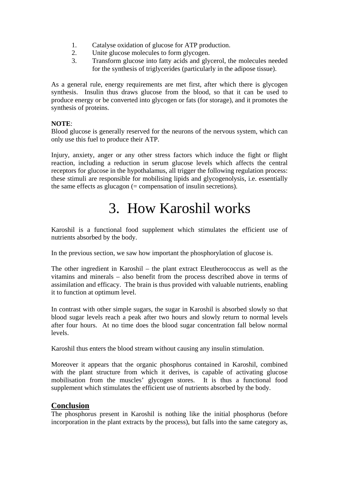- 1. Catalyse oxidation of glucose for ATP production.
- 2. Unite glucose molecules to form glycogen.
- 3. Transform glucose into fatty acids and glycerol, the molecules needed for the synthesis of triglycerides (particularly in the adipose tissue).

As a general rule, energy requirements are met first, after which there is glycogen synthesis. Insulin thus draws glucose from the blood, so that it can be used to produce energy or be converted into glycogen or fats (for storage), and it promotes the synthesis of proteins.

### **NOTE**:

Blood glucose is generally reserved for the neurons of the nervous system, which can only use this fuel to produce their ATP.

Injury, anxiety, anger or any other stress factors which induce the fight or flight reaction, including a reduction in serum glucose levels which affects the central receptors for glucose in the hypothalamus, all trigger the following regulation process: these stimuli are responsible for mobilising lipids and glycogenolysis, i.e. essentially the same effects as glucagon (= compensation of insulin secretions).

### 3. How Karoshil works

Karoshil is a functional food supplement which stimulates the efficient use of nutrients absorbed by the body.

In the previous section, we saw how important the phosphorylation of glucose is.

The other ingredient in Karoshil – the plant extract Eleutherococcus as well as the vitamins and minerals – also benefit from the process described above in terms of assimilation and efficacy. The brain is thus provided with valuable nutrients, enabling it to function at optimum level.

In contrast with other simple sugars, the sugar in Karoshil is absorbed slowly so that blood sugar levels reach a peak after two hours and slowly return to normal levels after four hours. At no time does the blood sugar concentration fall below normal levels.

Karoshil thus enters the blood stream without causing any insulin stimulation.

Moreover it appears that the organic phosphorus contained in Karoshil, combined with the plant structure from which it derives, is capable of activating glucose mobilisation from the muscles' glycogen stores. It is thus a functional food supplement which stimulates the efficient use of nutrients absorbed by the body.

### **Conclusion**

The phosphorus present in Karoshil is nothing like the initial phosphorus (before incorporation in the plant extracts by the process), but falls into the same category as,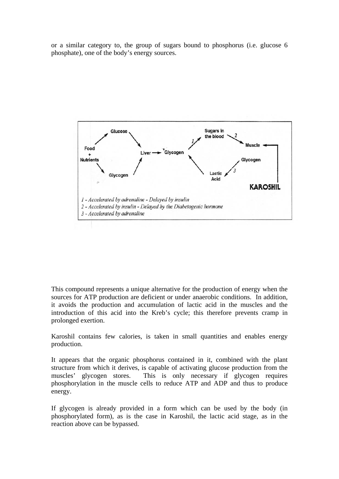or a similar category to, the group of sugars bound to phosphorus (i.e. glucose 6 phosphate), one of the body's energy sources.



This compound represents a unique alternative for the production of energy when the sources for ATP production are deficient or under anaerobic conditions. In addition, it avoids the production and accumulation of lactic acid in the muscles and the introduction of this acid into the Kreb's cycle; this therefore prevents cramp in prolonged exertion.

Karoshil contains few calories, is taken in small quantities and enables energy production.

It appears that the organic phosphorus contained in it, combined with the plant structure from which it derives, is capable of activating glucose production from the muscles' glycogen stores. This is only necessary if glycogen requires phosphorylation in the muscle cells to reduce ATP and ADP and thus to produce energy.

If glycogen is already provided in a form which can be used by the body (in phosphorylated form), as is the case in Karoshil, the lactic acid stage, as in the reaction above can be bypassed.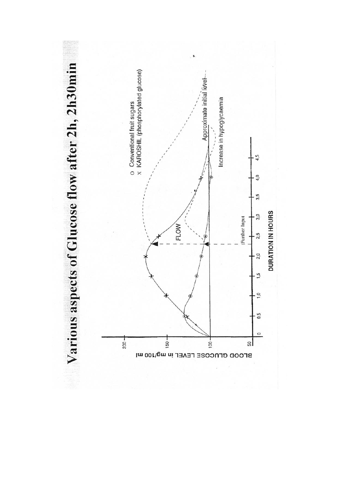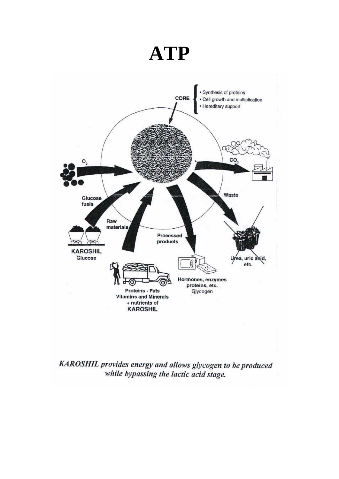## **ATP**



KAROSHIL provides energy and allows glycogen to be produced while bypassing the lactic acid stage.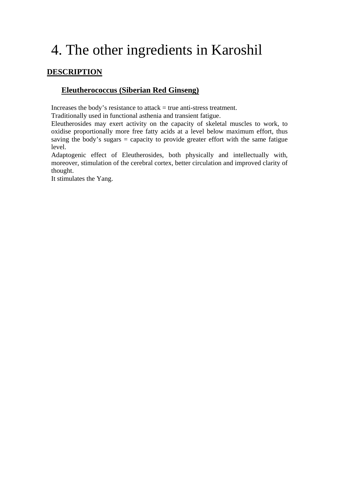## 4. The other ingredients in Karoshil

### **DESCRIPTION**

### **Eleutherococcus (Siberian Red Ginseng)**

Increases the body's resistance to attack = true anti-stress treatment.

Traditionally used in functional asthenia and transient fatigue.

Eleutherosides may exert activity on the capacity of skeletal muscles to work, to oxidise proportionally more free fatty acids at a level below maximum effort, thus saving the body's sugars = capacity to provide greater effort with the same fatigue level.

Adaptogenic effect of Eleutherosides, both physically and intellectually with, moreover, stimulation of the cerebral cortex, better circulation and improved clarity of thought.

It stimulates the Yang.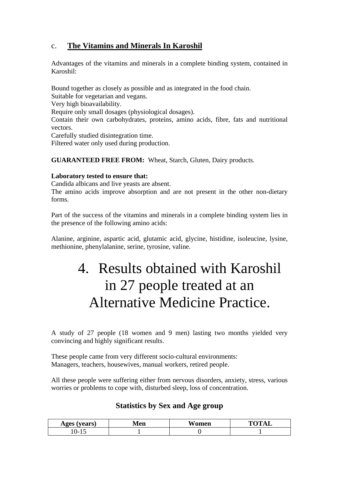### c. **The Vitamins and Minerals In Karoshil**

Advantages of the vitamins and minerals in a complete binding system, contained in Karoshil:

Bound together as closely as possible and as integrated in the food chain.

Suitable for vegetarian and vegans.

Very high bioavailability.

Require only small dosages (physiological dosages).

Contain their own carbohydrates, proteins, amino acids, fibre, fats and nutritional vectors.

Carefully studied disintegration time.

Filtered water only used during production.

**GUARANTEED FREE FROM:** Wheat, Starch, Gluten, Dairy products.

### **Laboratory tested to ensure that:**

Candida albicans and live yeasts are absent.

The amino acids improve absorption and are not present in the other non-dietary forms.

Part of the success of the vitamins and minerals in a complete binding system lies in the presence of the following amino acids:

Alanine, arginine, aspartic acid, glutamic acid, glycine, histidine, isoleucine, lysine, methionine, phenylalanine, serine, tyrosine, valine.

## 4. Results obtained with Karoshil in 27 people treated at an Alternative Medicine Practice.

A study of 27 people (18 women and 9 men) lasting two months yielded very convincing and highly significant results.

These people came from very different socio-cultural environments: Managers, teachers, housewives, manual workers, retired people.

All these people were suffering either from nervous disorders, anxiety, stress, various worries or problems to cope with, disturbed sleep, loss of concentration.

### **Statistics by Sex and Age group**

| <b>Ages</b><br>$\tau$ $\alpha$ $\alpha$<br>сатэ. | Men | ---<br>'omen<br>w. | $\mathbf{m}$ $\alpha$<br>$^{\prime}$ |
|--------------------------------------------------|-----|--------------------|--------------------------------------|
| .<br>◡                                           |     |                    |                                      |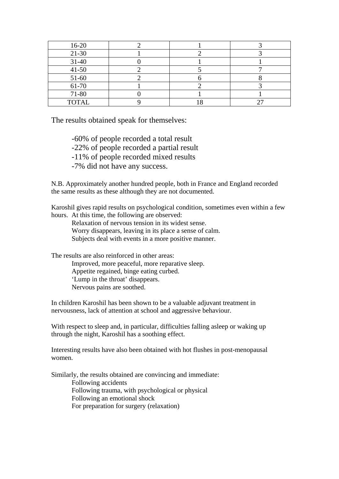| $16-20$      |  |  |
|--------------|--|--|
| $21-30$      |  |  |
| $31 - 40$    |  |  |
| $41 - 50$    |  |  |
| 51-60        |  |  |
| 61-70        |  |  |
| 71-80        |  |  |
| <b>TOTAL</b> |  |  |

The results obtained speak for themselves:

-60% of people recorded a total result -22% of people recorded a partial result -11% of people recorded mixed results -7% did not have any success.

N.B. Approximately another hundred people, both in France and England recorded the same results as these although they are not documented.

Karoshil gives rapid results on psychological condition, sometimes even within a few hours. At this time, the following are observed:

Relaxation of nervous tension in its widest sense. Worry disappears, leaving in its place a sense of calm. Subjects deal with events in a more positive manner.

The results are also reinforced in other areas: Improved, more peaceful, more reparative sleep. Appetite regained, binge eating curbed. 'Lump in the throat' disappears. Nervous pains are soothed.

In children Karoshil has been shown to be a valuable adjuvant treatment in nervousness, lack of attention at school and aggressive behaviour.

With respect to sleep and, in particular, difficulties falling asleep or waking up through the night, Karoshil has a soothing effect.

Interesting results have also been obtained with hot flushes in post-menopausal women.

Similarly, the results obtained are convincing and immediate: Following accidents Following trauma, with psychological or physical

Following an emotional shock

For preparation for surgery (relaxation)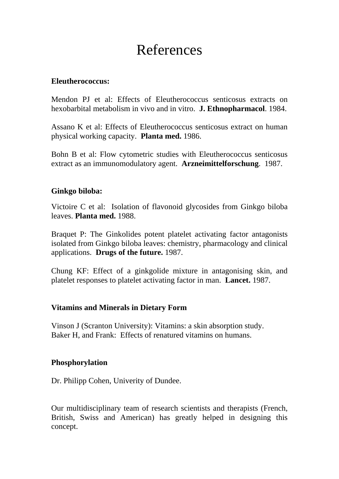### References

### **Eleutherococcus:**

Mendon PJ et al: Effects of Eleutherococcus senticosus extracts on hexobarbital metabolism in vivo and in vitro. **J. Ethnopharmacol**. 1984.

Assano K et al: Effects of Eleutherococcus senticosus extract on human physical working capacity. **Planta med.** 1986.

Bohn B et al: Flow cytometric studies with Eleutherococcus senticosus extract as an immunomodulatory agent. **Arzneimittelforschung**. 1987.

### **Ginkgo biloba:**

Victoire C et al: Isolation of flavonoid glycosides from Ginkgo biloba leaves. **Planta med.** 1988.

Braquet P: The Ginkolides potent platelet activating factor antagonists isolated from Ginkgo biloba leaves: chemistry, pharmacology and clinical applications. **Drugs of the future.** 1987.

Chung KF: Effect of a ginkgolide mixture in antagonising skin, and platelet responses to platelet activating factor in man. **Lancet.** 1987.

### **Vitamins and Minerals in Dietary Form**

Vinson J (Scranton University): Vitamins: a skin absorption study. Baker H, and Frank: Effects of renatured vitamins on humans.

### **Phosphorylation**

Dr. Philipp Cohen, Univerity of Dundee.

Our multidisciplinary team of research scientists and therapists (French, British, Swiss and American) has greatly helped in designing this concept.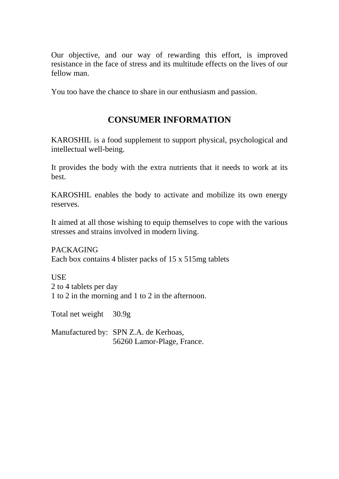Our objective, and our way of rewarding this effort, is improved resistance in the face of stress and its multitude effects on the lives of our fellow man.

You too have the chance to share in our enthusiasm and passion.

### **CONSUMER INFORMATION**

KAROSHIL is a food supplement to support physical, psychological and intellectual well-being.

It provides the body with the extra nutrients that it needs to work at its best.

KAROSHIL enables the body to activate and mobilize its own energy reserves.

It aimed at all those wishing to equip themselves to cope with the various stresses and strains involved in modern living.

PACKAGING Each box contains 4 blister packs of 15 x 515mg tablets

**USE** 2 to 4 tablets per day 1 to 2 in the morning and 1 to 2 in the afternoon.

Total net weight 30.9g

Manufactured by: SPN Z.A. de Kerhoas, 56260 Lamor-Plage, France.